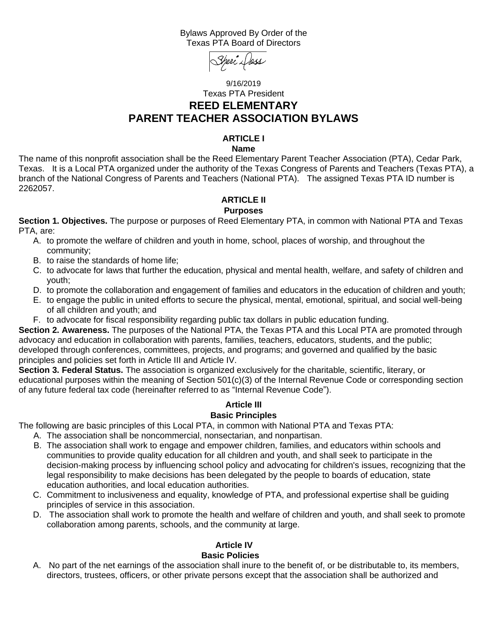#### Bylaws Approved By Order of the Texas PTA Board of Directors



# 9/16/2019 Texas PTA President **REED ELEMENTARY PARENT TEACHER ASSOCIATION BYLAWS**

# **ARTICLE I**

**Name**

The name of this nonprofit association shall be the Reed Elementary Parent Teacher Association (PTA), Cedar Park, Texas. It is a Local PTA organized under the authority of the Texas Congress of Parents and Teachers (Texas PTA), a branch of the National Congress of Parents and Teachers (National PTA). The assigned Texas PTA ID number is 2262057.

#### **ARTICLE II**

#### **Purposes**

**Section 1. Objectives.** The purpose or purposes of Reed Elementary PTA, in common with National PTA and Texas PTA, are:

- A. to promote the welfare of children and youth in home, school, places of worship, and throughout the community;
- B. to raise the standards of home life;
- C. to advocate for laws that further the education, physical and mental health, welfare, and safety of children and youth;
- D. to promote the collaboration and engagement of families and educators in the education of children and youth;
- E. to engage the public in united efforts to secure the physical, mental, emotional, spiritual, and social well-being of all children and youth; and
- F. to advocate for fiscal responsibility regarding public tax dollars in public education funding.

**Section 2. Awareness.** The purposes of the National PTA, the Texas PTA and this Local PTA are promoted through advocacy and education in collaboration with parents, families, teachers, educators, students, and the public; developed through conferences, committees, projects, and programs; and governed and qualified by the basic principles and policies set forth in Article III and Article IV.

**Section 3. Federal Status.** The association is organized exclusively for the charitable, scientific, literary, or educational purposes within the meaning of Section 501(c)(3) of the Internal Revenue Code or corresponding section of any future federal tax code (hereinafter referred to as "Internal Revenue Code").

# **Article III**

# **Basic Principles**

The following are basic principles of this Local PTA, in common with National PTA and Texas PTA:

- A. The association shall be noncommercial, nonsectarian, and nonpartisan.
- B. The association shall work to engage and empower children, families, and educators within schools and communities to provide quality education for all children and youth, and shall seek to participate in the decision-making process by influencing school policy and advocating for children's issues, recognizing that the legal responsibility to make decisions has been delegated by the people to boards of education, state education authorities, and local education authorities.
- C. Commitment to inclusiveness and equality, knowledge of PTA, and professional expertise shall be guiding principles of service in this association.
- D. The association shall work to promote the health and welfare of children and youth, and shall seek to promote collaboration among parents, schools, and the community at large.

# **Article IV Basic Policies**

A. No part of the net earnings of the association shall inure to the benefit of, or be distributable to, its members, directors, trustees, officers, or other private persons except that the association shall be authorized and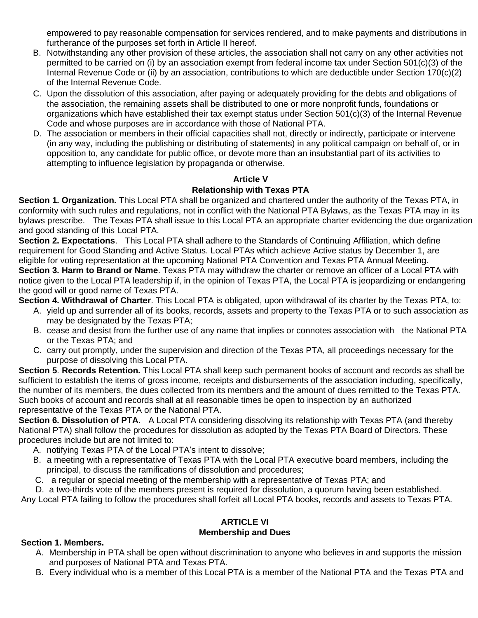empowered to pay reasonable compensation for services rendered, and to make payments and distributions in furtherance of the purposes set forth in Article II hereof.

- B. Notwithstanding any other provision of these articles, the association shall not carry on any other activities not permitted to be carried on (i) by an association exempt from federal income tax under Section 501(c)(3) of the Internal Revenue Code or (ii) by an association, contributions to which are deductible under Section 170(c)(2) of the Internal Revenue Code.
- C. Upon the dissolution of this association, after paying or adequately providing for the debts and obligations of the association, the remaining assets shall be distributed to one or more nonprofit funds, foundations or organizations which have established their tax exempt status under Section 501(c)(3) of the Internal Revenue Code and whose purposes are in accordance with those of National PTA.
- D. The association or members in their official capacities shall not, directly or indirectly, participate or intervene (in any way, including the publishing or distributing of statements) in any political campaign on behalf of, or in opposition to, any candidate for public office, or devote more than an insubstantial part of its activities to attempting to influence legislation by propaganda or otherwise.

#### **Article V**

# **Relationship with Texas PTA**

**Section 1. Organization.** This Local PTA shall be organized and chartered under the authority of the Texas PTA, in conformity with such rules and regulations, not in conflict with the National PTA Bylaws, as the Texas PTA may in its bylaws prescribe. The Texas PTA shall issue to this Local PTA an appropriate charter evidencing the due organization and good standing of this Local PTA.

**Section 2. Expectations**. This Local PTA shall adhere to the Standards of Continuing Affiliation, which define requirement for Good Standing and Active Status. Local PTAs which achieve Active status by December 1, are eligible for voting representation at the upcoming National PTA Convention and Texas PTA Annual Meeting.

**Section 3. Harm to Brand or Name**. Texas PTA may withdraw the charter or remove an officer of a Local PTA with notice given to the Local PTA leadership if, in the opinion of Texas PTA, the Local PTA is jeopardizing or endangering the good will or good name of Texas PTA.

**Section 4. Withdrawal of Charter**. This Local PTA is obligated, upon withdrawal of its charter by the Texas PTA, to:

- A. yield up and surrender all of its books, records, assets and property to the Texas PTA or to such association as may be designated by the Texas PTA;
- B. cease and desist from the further use of any name that implies or connotes association with the National PTA or the Texas PTA; and
- C. carry out promptly, under the supervision and direction of the Texas PTA, all proceedings necessary for the purpose of dissolving this Local PTA.

**Section 5**. **Records Retention.** This Local PTA shall keep such permanent books of account and records as shall be sufficient to establish the items of gross income, receipts and disbursements of the association including, specifically, the number of its members, the dues collected from its members and the amount of dues remitted to the Texas PTA. Such books of account and records shall at all reasonable times be open to inspection by an authorized representative of the Texas PTA or the National PTA.

**Section 6. Dissolution of PTA**. A Local PTA considering dissolving its relationship with Texas PTA (and thereby National PTA) shall follow the procedures for dissolution as adopted by the Texas PTA Board of Directors. These procedures include but are not limited to:

- A. notifying Texas PTA of the Local PTA's intent to dissolve;
- B. a meeting with a representative of Texas PTA with the Local PTA executive board members, including the principal, to discuss the ramifications of dissolution and procedures;
- C. a regular or special meeting of the membership with a representative of Texas PTA; and

D. a two-thirds vote of the members present is required for dissolution, a quorum having been established. Any Local PTA failing to follow the procedures shall forfeit all Local PTA books, records and assets to Texas PTA.

# **ARTICLE VI**

# **Membership and Dues**

# **Section 1. Members.**

- A. Membership in PTA shall be open without discrimination to anyone who believes in and supports the mission and purposes of National PTA and Texas PTA.
- B. Every individual who is a member of this Local PTA is a member of the National PTA and the Texas PTA and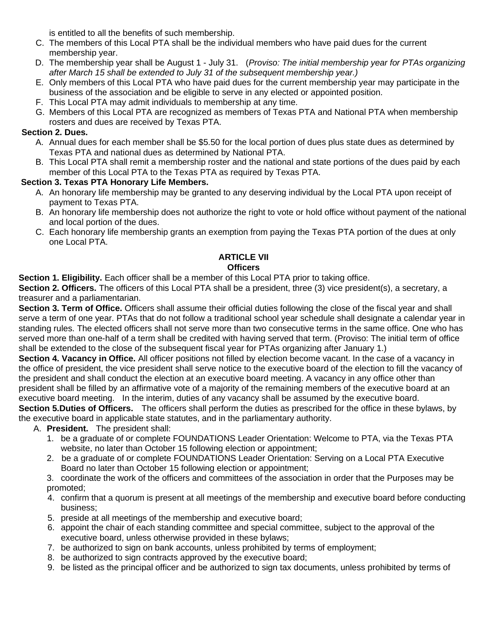is entitled to all the benefits of such membership.

- C. The members of this Local PTA shall be the individual members who have paid dues for the current membership year.
- D. The membership year shall be August 1 July 31. (*Proviso: The initial membership year for PTAs organizing after March 15 shall be extended to July 31 of the subsequent membership year.)*
- E. Only members of this Local PTA who have paid dues for the current membership year may participate in the business of the association and be eligible to serve in any elected or appointed position.
- F. This Local PTA may admit individuals to membership at any time.
- G. Members of this Local PTA are recognized as members of Texas PTA and National PTA when membership rosters and dues are received by Texas PTA.

#### **Section 2. Dues.**

- A. Annual dues for each member shall be \$5.50 for the local portion of dues plus state dues as determined by Texas PTA and national dues as determined by National PTA.
- B. This Local PTA shall remit a membership roster and the national and state portions of the dues paid by each member of this Local PTA to the Texas PTA as required by Texas PTA.

# **Section 3. Texas PTA Honorary Life Members.**

- A. An honorary life membership may be granted to any deserving individual by the Local PTA upon receipt of payment to Texas PTA.
- B. An honorary life membership does not authorize the right to vote or hold office without payment of the national and local portion of the dues.
- C. Each honorary life membership grants an exemption from paying the Texas PTA portion of the dues at only one Local PTA.

#### **ARTICLE VII Officers**

**Section 1. Eligibility.** Each officer shall be a member of this Local PTA prior to taking office.

Section 2. Officers. The officers of this Local PTA shall be a president, three (3) vice president(s), a secretary, a treasurer and a parliamentarian.

**Section 3. Term of Office.** Officers shall assume their official duties following the close of the fiscal year and shall serve a term of one year. PTAs that do not follow a traditional school year schedule shall designate a calendar year in standing rules. The elected officers shall not serve more than two consecutive terms in the same office. One who has served more than one-half of a term shall be credited with having served that term. (Proviso: The initial term of office shall be extended to the close of the subsequent fiscal year for PTAs organizing after January 1.)

**Section 4. Vacancy in Office.** All officer positions not filled by election become vacant. In the case of a vacancy in the office of president, the vice president shall serve notice to the executive board of the election to fill the vacancy of the president and shall conduct the election at an executive board meeting. A vacancy in any office other than president shall be filled by an affirmative vote of a majority of the remaining members of the executive board at an executive board meeting. In the interim, duties of any vacancy shall be assumed by the executive board.

**Section 5.Duties of Officers.** The officers shall perform the duties as prescribed for the office in these bylaws, by the executive board in applicable state statutes, and in the parliamentary authority.

- A. **President.** The president shall:
	- 1. be a graduate of or complete FOUNDATIONS Leader Orientation: Welcome to PTA, via the Texas PTA website, no later than October 15 following election or appointment;
	- 2. be a graduate of or complete FOUNDATIONS Leader Orientation: Serving on a Local PTA Executive Board no later than October 15 following election or appointment;

3. coordinate the work of the officers and committees of the association in order that the Purposes may be promoted;

- 4. confirm that a quorum is present at all meetings of the membership and executive board before conducting business;
- 5. preside at all meetings of the membership and executive board;
- 6. appoint the chair of each standing committee and special committee, subject to the approval of the executive board, unless otherwise provided in these bylaws;
- 7. be authorized to sign on bank accounts, unless prohibited by terms of employment;
- 8. be authorized to sign contracts approved by the executive board;
- 9. be listed as the principal officer and be authorized to sign tax documents, unless prohibited by terms of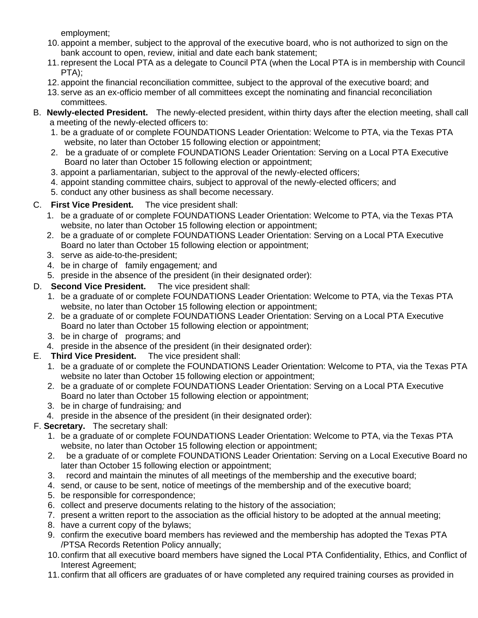employment;

- 10. appoint a member, subject to the approval of the executive board, who is not authorized to sign on the bank account to open, review, initial and date each bank statement;
- 11. represent the Local PTA as a delegate to Council PTA (when the Local PTA is in membership with Council PTA);
- 12. appoint the financial reconciliation committee, subject to the approval of the executive board; and
- 13. serve as an ex-officio member of all committees except the nominating and financial reconciliation committees.
- B. **Newly-elected President.** The newly-elected president, within thirty days after the election meeting, shall call a meeting of the newly-elected officers to:
	- 1. be a graduate of or complete FOUNDATIONS Leader Orientation: Welcome to PTA, via the Texas PTA website, no later than October 15 following election or appointment;
	- 2. be a graduate of or complete FOUNDATIONS Leader Orientation: Serving on a Local PTA Executive Board no later than October 15 following election or appointment;
	- 3. appoint a parliamentarian, subject to the approval of the newly-elected officers;
	- 4. appoint standing committee chairs, subject to approval of the newly-elected officers; and
	- 5. conduct any other business as shall become necessary.

# C. **First Vice President.** The vice president shall:

- 1. be a graduate of or complete FOUNDATIONS Leader Orientation: Welcome to PTA, via the Texas PTA website, no later than October 15 following election or appointment;
- 2. be a graduate of or complete FOUNDATIONS Leader Orientation: Serving on a Local PTA Executive Board no later than October 15 following election or appointment;
- 3. serve as aide-to-the-president;
- 4. be in charge of family engagement*;* and
- 5. preside in the absence of the president (in their designated order):

# D. **Second Vice President.** The vice president shall:

- 1. be a graduate of or complete FOUNDATIONS Leader Orientation: Welcome to PTA, via the Texas PTA website, no later than October 15 following election or appointment;
- 2. be a graduate of or complete FOUNDATIONS Leader Orientation: Serving on a Local PTA Executive Board no later than October 15 following election or appointment;
- 3. be in charge of programs; and
- 4. preside in the absence of the president (in their designated order):
- E. **Third Vice President.** The vice president shall:
	- 1. be a graduate of or complete the FOUNDATIONS Leader Orientation: Welcome to PTA, via the Texas PTA website no later than October 15 following election or appointment;
	- 2. be a graduate of or complete FOUNDATIONS Leader Orientation: Serving on a Local PTA Executive Board no later than October 15 following election or appointment;
	- 3. be in charge of fundraising*;* and
	- 4. preside in the absence of the president (in their designated order):

# F. **Secretary.** The secretary shall:

- 1. be a graduate of or complete FOUNDATIONS Leader Orientation: Welcome to PTA, via the Texas PTA website, no later than October 15 following election or appointment;
- 2. be a graduate of or complete FOUNDATIONS Leader Orientation: Serving on a Local Executive Board no later than October 15 following election or appointment;
- 3. record and maintain the minutes of all meetings of the membership and the executive board;
- 4. send, or cause to be sent, notice of meetings of the membership and of the executive board;
- 5. be responsible for correspondence;
- 6. collect and preserve documents relating to the history of the association;
- 7. present a written report to the association as the official history to be adopted at the annual meeting;
- 8. have a current copy of the bylaws;
- 9. confirm the executive board members has reviewed and the membership has adopted the Texas PTA /PTSA Records Retention Policy annually;
- 10. confirm that all executive board members have signed the Local PTA Confidentiality, Ethics, and Conflict of Interest Agreement;
- 11. confirm that all officers are graduates of or have completed any required training courses as provided in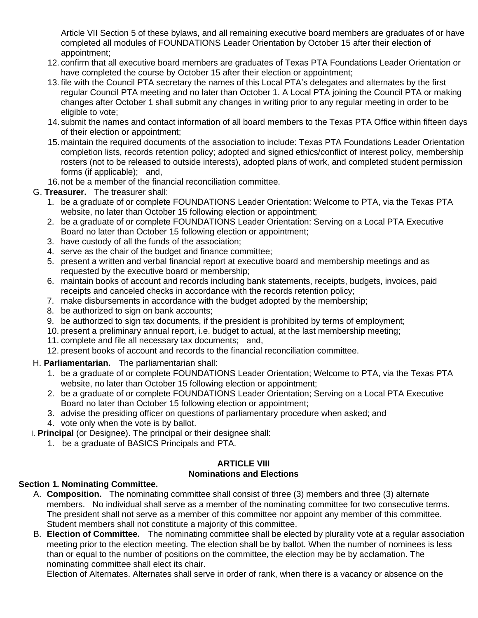Article VII Section 5 of these bylaws, and all remaining executive board members are graduates of or have completed all modules of FOUNDATIONS Leader Orientation by October 15 after their election of appointment;

- 12. confirm that all executive board members are graduates of Texas PTA Foundations Leader Orientation or have completed the course by October 15 after their election or appointment;
- 13. file with the Council PTA secretary the names of this Local PTA's delegates and alternates by the first regular Council PTA meeting and no later than October 1. A Local PTA joining the Council PTA or making changes after October 1 shall submit any changes in writing prior to any regular meeting in order to be eligible to vote;
- 14. submit the names and contact information of all board members to the Texas PTA Office within fifteen days of their election or appointment;
- 15.maintain the required documents of the association to include: Texas PTA Foundations Leader Orientation completion lists, records retention policy; adopted and signed ethics/conflict of interest policy, membership rosters (not to be released to outside interests), adopted plans of work, and completed student permission forms (if applicable); and,
- 16.not be a member of the financial reconciliation committee.

# G. **Treasurer.** The treasurer shall:

- 1. be a graduate of or complete FOUNDATIONS Leader Orientation: Welcome to PTA, via the Texas PTA website, no later than October 15 following election or appointment:
- 2. be a graduate of or complete FOUNDATIONS Leader Orientation: Serving on a Local PTA Executive Board no later than October 15 following election or appointment;
- 3. have custody of all the funds of the association;
- 4. serve as the chair of the budget and finance committee;
- 5. present a written and verbal financial report at executive board and membership meetings and as requested by the executive board or membership;
- 6. maintain books of account and records including bank statements, receipts, budgets, invoices, paid receipts and canceled checks in accordance with the records retention policy;
- 7. make disbursements in accordance with the budget adopted by the membership;
- 8. be authorized to sign on bank accounts:
- 9. be authorized to sign tax documents, if the president is prohibited by terms of employment;
- 10. present a preliminary annual report, i.e. budget to actual, at the last membership meeting;
- 11. complete and file all necessary tax documents; and,
- 12. present books of account and records to the financial reconciliation committee.
- H. **Parliamentarian.** The parliamentarian shall:
	- 1. be a graduate of or complete FOUNDATIONS Leader Orientation; Welcome to PTA, via the Texas PTA website, no later than October 15 following election or appointment:
	- 2. be a graduate of or complete FOUNDATIONS Leader Orientation; Serving on a Local PTA Executive Board no later than October 15 following election or appointment;
	- 3. advise the presiding officer on questions of parliamentary procedure when asked; and
	- 4. vote only when the vote is by ballot.
- I. **Principal** (or Designee). The principal or their designee shall:
	- 1. be a graduate of BASICS Principals and PTA.

# **ARTICLE VIII**

# **Nominations and Elections**

# **Section 1. Nominating Committee.**

- A. **Composition.** The nominating committee shall consist of three (3) members and three (3) alternate members. No individual shall serve as a member of the nominating committee for two consecutive terms. The president shall not serve as a member of this committee nor appoint any member of this committee. Student members shall not constitute a majority of this committee.
- B. **Election of Committee.** The nominating committee shall be elected by plurality vote at a regular association meeting prior to the election meeting. The election shall be by ballot. When the number of nominees is less than or equal to the number of positions on the committee, the election may be by acclamation. The nominating committee shall elect its chair.

Election of Alternates. Alternates shall serve in order of rank, when there is a vacancy or absence on the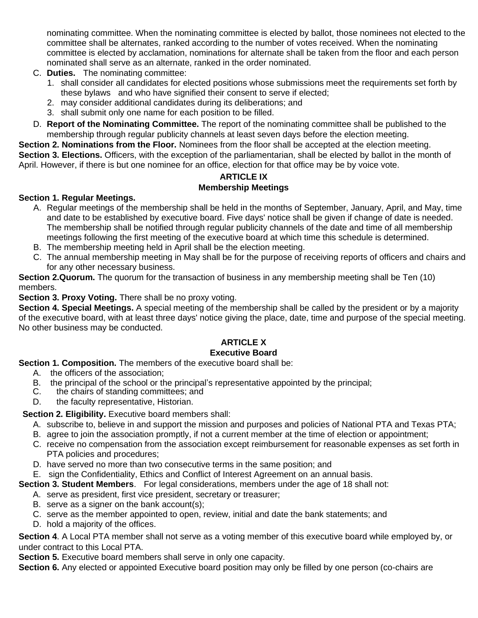nominating committee. When the nominating committee is elected by ballot, those nominees not elected to the committee shall be alternates, ranked according to the number of votes received. When the nominating committee is elected by acclamation, nominations for alternate shall be taken from the floor and each person nominated shall serve as an alternate, ranked in the order nominated.

- C. **Duties.** The nominating committee:
	- 1. shall consider all candidates for elected positions whose submissions meet the requirements set forth by these bylaws and who have signified their consent to serve if elected;
	- 2. may consider additional candidates during its deliberations; and
	- 3. shall submit only one name for each position to be filled.
- D. **Report of the Nominating Committee.** The report of the nominating committee shall be published to the membership through regular publicity channels at least seven days before the election meeting.

**Section 2. Nominations from the Floor.** Nominees from the floor shall be accepted at the election meeting.

**Section 3. Elections.** Officers, with the exception of the parliamentarian, shall be elected by ballot in the month of April. However, if there is but one nominee for an office, election for that office may be by voice vote.

# **ARTICLE IX Membership Meetings**

# **Section 1. Regular Meetings.**

- A. Regular meetings of the membership shall be held in the months of September, January, April, and May, time and date to be established by executive board. Five days' notice shall be given if change of date is needed. The membership shall be notified through regular publicity channels of the date and time of all membership meetings following the first meeting of the executive board at which time this schedule is determined.
- B. The membership meeting held in April shall be the election meeting.
- C. The annual membership meeting in May shall be for the purpose of receiving reports of officers and chairs and for any other necessary business.

**Section 2.Quorum.** The quorum for the transaction of business in any membership meeting shall be Ten (10) members.

# **Section 3. Proxy Voting.** There shall be no proxy voting.

**Section 4. Special Meetings.** A special meeting of the membership shall be called by the president or by a majority of the executive board, with at least three days' notice giving the place, date, time and purpose of the special meeting. No other business may be conducted.

# **ARTICLE X**

# **Executive Board**

**Section 1. Composition.** The members of the executive board shall be:

- A. the officers of the association;
- B. the principal of the school or the principal's representative appointed by the principal;
- C. the chairs of standing committees; and
- D. the faculty representative, Historian.

# **Section 2. Eligibility.** Executive board members shall:

- A. subscribe to, believe in and support the mission and purposes and policies of National PTA and Texas PTA;
- B. agree to join the association promptly, if not a current member at the time of election or appointment;
- C. receive no compensation from the association except reimbursement for reasonable expenses as set forth in PTA policies and procedures;
- D. have served no more than two consecutive terms in the same position; and
- E. sign the Confidentiality, Ethics and Conflict of Interest Agreement on an annual basis.

**Section 3. Student Members**. For legal considerations, members under the age of 18 shall not:

- A. serve as president, first vice president, secretary or treasurer;
- B. serve as a signer on the bank account(s);
- C. serve as the member appointed to open, review, initial and date the bank statements; and
- D. hold a majority of the offices.

**Section 4**. A Local PTA member shall not serve as a voting member of this executive board while employed by, or under contract to this Local PTA.

**Section 5.** Executive board members shall serve in only one capacity.

**Section 6.** Any elected or appointed Executive board position may only be filled by one person (co-chairs are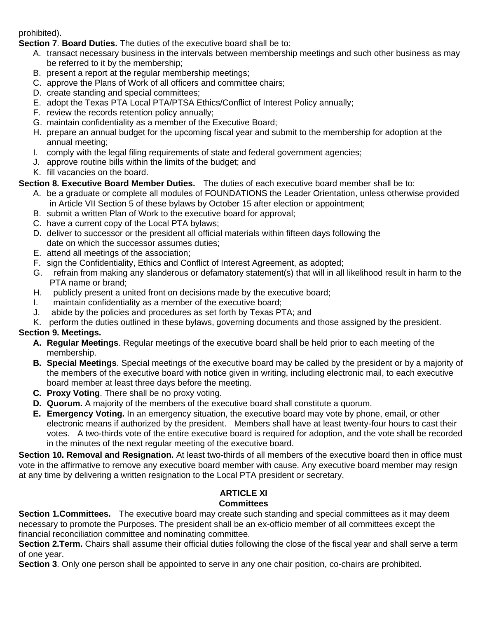prohibited).

**Section 7**. **Board Duties.** The duties of the executive board shall be to:

- A. transact necessary business in the intervals between membership meetings and such other business as may be referred to it by the membership;
- B. present a report at the regular membership meetings;
- C. approve the Plans of Work of all officers and committee chairs;
- D. create standing and special committees;
- E. adopt the Texas PTA Local PTA/PTSA Ethics/Conflict of Interest Policy annually;
- F. review the records retention policy annually;
- G. maintain confidentiality as a member of the Executive Board;
- H. prepare an annual budget for the upcoming fiscal year and submit to the membership for adoption at the annual meeting;
- I. comply with the legal filing requirements of state and federal government agencies;
- J. approve routine bills within the limits of the budget; and
- K. fill vacancies on the board.

# **Section 8. Executive Board Member Duties.** The duties of each executive board member shall be to:

- A. be a graduate or complete all modules of FOUNDATIONS the Leader Orientation, unless otherwise provided in Article VII Section 5 of these bylaws by October 15 after election or appointment;
- B. submit a written Plan of Work to the executive board for approval;
- C. have a current copy of the Local PTA bylaws;
- D. deliver to successor or the president all official materials within fifteen days following the date on which the successor assumes duties;
- E. attend all meetings of the association;
- F. sign the Confidentiality, Ethics and Conflict of Interest Agreement, as adopted;
- G. refrain from making any slanderous or defamatory statement(s) that will in all likelihood result in harm to the PTA name or brand;
- H. publicly present a united front on decisions made by the executive board;
- I. maintain confidentiality as a member of the executive board;
- J. abide by the policies and procedures as set forth by Texas PTA; and
- K. perform the duties outlined in these bylaws, governing documents and those assigned by the president.

# **Section 9. Meetings.**

- **A. Regular Meetings**. Regular meetings of the executive board shall be held prior to each meeting of the membership.
- **B. Special Meetings**. Special meetings of the executive board may be called by the president or by a majority of the members of the executive board with notice given in writing, including electronic mail, to each executive board member at least three days before the meeting.
- **C. Proxy Voting**. There shall be no proxy voting.
- **D. Quorum.** A majority of the members of the executive board shall constitute a quorum.
- **E. Emergency Voting.** In an emergency situation, the executive board may vote by phone, email, or other electronic means if authorized by the president. Members shall have at least twenty-four hours to cast their votes. A two-thirds vote of the entire executive board is required for adoption, and the vote shall be recorded in the minutes of the next regular meeting of the executive board.

**Section 10. Removal and Resignation.** At least two-thirds of all members of the executive board then in office must vote in the affirmative to remove any executive board member with cause. Any executive board member may resign at any time by delivering a written resignation to the Local PTA president or secretary.

# **ARTICLE XI**

# **Committees**

**Section 1.Committees.** The executive board may create such standing and special committees as it may deem necessary to promote the Purposes. The president shall be an ex-officio member of all committees except the financial reconciliation committee and nominating committee.

**Section 2.Term.** Chairs shall assume their official duties following the close of the fiscal year and shall serve a term of one year.

**Section 3**. Only one person shall be appointed to serve in any one chair position, co-chairs are prohibited.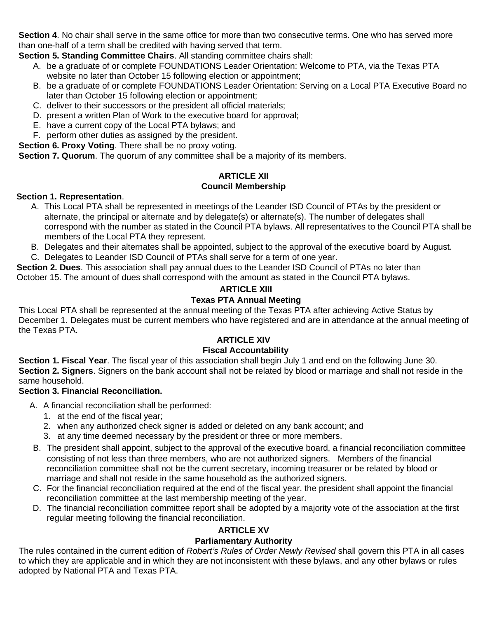**Section 4**. No chair shall serve in the same office for more than two consecutive terms. One who has served more than one-half of a term shall be credited with having served that term.

**Section 5. Standing Committee Chairs**. All standing committee chairs shall:

- A. be a graduate of or complete FOUNDATIONS Leader Orientation: Welcome to PTA, via the Texas PTA website no later than October 15 following election or appointment;
- B. be a graduate of or complete FOUNDATIONS Leader Orientation: Serving on a Local PTA Executive Board no later than October 15 following election or appointment;
- C. deliver to their successors or the president all official materials;
- D. present a written Plan of Work to the executive board for approval;
- E. have a current copy of the Local PTA bylaws; and
- F. perform other duties as assigned by the president.

**Section 6. Proxy Voting**. There shall be no proxy voting.

**Section 7. Quorum**. The quorum of any committee shall be a majority of its members.

# **ARTICLE XII Council Membership**

#### **Section 1. Representation**.

- A. This Local PTA shall be represented in meetings of the Leander ISD Council of PTAs by the president or alternate, the principal or alternate and by delegate(s) or alternate(s). The number of delegates shall correspond with the number as stated in the Council PTA bylaws. All representatives to the Council PTA shall be members of the Local PTA they represent.
- B. Delegates and their alternates shall be appointed, subject to the approval of the executive board by August.
- C. Delegates to Leander ISD Council of PTAs shall serve for a term of one year.

**Section 2. Dues**. This association shall pay annual dues to the Leander ISD Council of PTAs no later than October 15. The amount of dues shall correspond with the amount as stated in the Council PTA bylaws.

# **ARTICLE XIII**

# **Texas PTA Annual Meeting**

This Local PTA shall be represented at the annual meeting of the Texas PTA after achieving Active Status by December 1. Delegates must be current members who have registered and are in attendance at the annual meeting of the Texas PTA.

# **ARTICLE XIV**

# **Fiscal Accountability**

**Section 1. Fiscal Year**. The fiscal year of this association shall begin July 1 and end on the following June 30. **Section 2. Signers**. Signers on the bank account shall not be related by blood or marriage and shall not reside in the same household.

# **Section 3. Financial Reconciliation.**

- A. A financial reconciliation shall be performed:
	- 1. at the end of the fiscal year;
	- 2. when any authorized check signer is added or deleted on any bank account; and
	- 3. at any time deemed necessary by the president or three or more members.
- B. The president shall appoint, subject to the approval of the executive board, a financial reconciliation committee consisting of not less than three members, who are not authorized signers. Members of the financial reconciliation committee shall not be the current secretary, incoming treasurer or be related by blood or marriage and shall not reside in the same household as the authorized signers.
- C. For the financial reconciliation required at the end of the fiscal year, the president shall appoint the financial reconciliation committee at the last membership meeting of the year.
- D. The financial reconciliation committee report shall be adopted by a majority vote of the association at the first regular meeting following the financial reconciliation.

# **ARTICLE XV**

# **Parliamentary Authority**

The rules contained in the current edition of *Robert's Rules of Order Newly Revised* shall govern this PTA in all cases to which they are applicable and in which they are not inconsistent with these bylaws, and any other bylaws or rules adopted by National PTA and Texas PTA.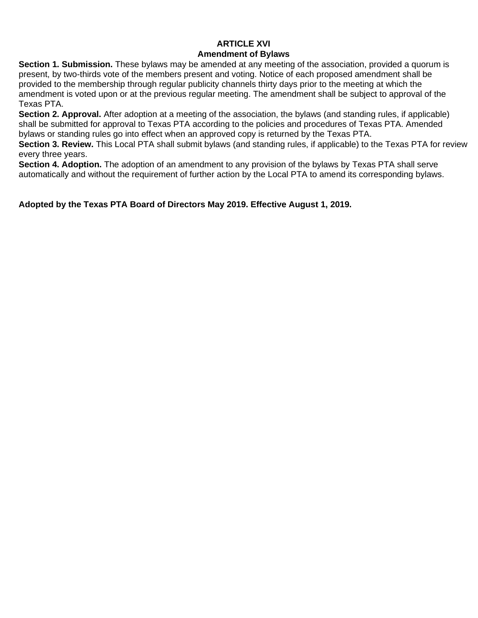#### **ARTICLE XVI Amendment of Bylaws**

**Section 1. Submission.** These bylaws may be amended at any meeting of the association, provided a quorum is present, by two-thirds vote of the members present and voting. Notice of each proposed amendment shall be provided to the membership through regular publicity channels thirty days prior to the meeting at which the amendment is voted upon or at the previous regular meeting. The amendment shall be subject to approval of the Texas PTA.

**Section 2. Approval.** After adoption at a meeting of the association, the bylaws (and standing rules, if applicable) shall be submitted for approval to Texas PTA according to the policies and procedures of Texas PTA. Amended bylaws or standing rules go into effect when an approved copy is returned by the Texas PTA.

**Section 3. Review.** This Local PTA shall submit bylaws (and standing rules, if applicable) to the Texas PTA for review every three years.

**Section 4. Adoption.** The adoption of an amendment to any provision of the bylaws by Texas PTA shall serve automatically and without the requirement of further action by the Local PTA to amend its corresponding bylaws.

**Adopted by the Texas PTA Board of Directors May 2019. Effective August 1, 2019.**